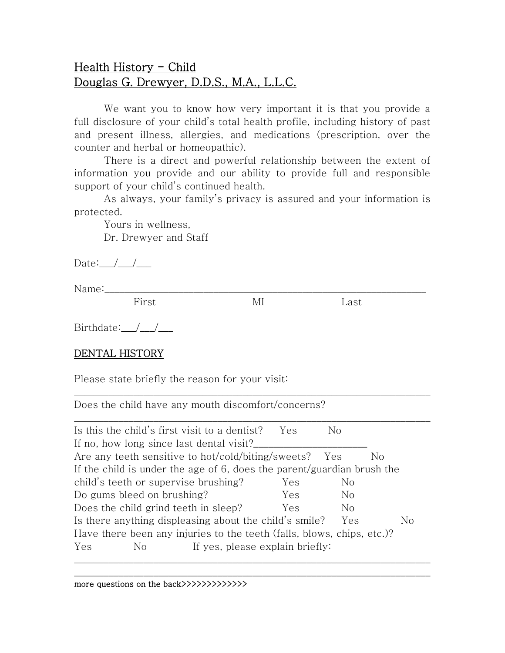## Health History - Child Douglas G. Drewyer, D.D.S., M.A., L.L.C.

We want you to know how very important it is that you provide a full disclosure of your child's total health profile, including history of past and present illness, allergies, and medications (prescription, over the counter and herbal or homeopathic).

 There is a direct and powerful relationship between the extent of information you provide and our ability to provide full and responsible support of your child's continued health.

 As always, your family's privacy is assured and your information is protected.

Yours in wellness,

Dr. Drewyer and Staff

Date:  $/$  /

Name:\_\_\_\_\_\_\_\_\_\_\_\_\_\_\_\_\_\_\_\_\_\_\_\_\_\_\_\_\_\_\_\_\_\_\_\_\_\_\_\_\_\_\_\_\_\_\_\_\_\_\_\_\_\_\_\_\_\_\_\_\_\_\_\_\_

First MI Last

Birthdate: $\frac{1}{2}$  /

## DENTAL HISTORY

Please state briefly the reason for your visit:

Does the child have any mouth discomfort/concerns?

|                                      | Is this the child's first visit to a dentist?                          | Yes.       | No             |     |
|--------------------------------------|------------------------------------------------------------------------|------------|----------------|-----|
|                                      | If no, how long since last dental visit?                               |            |                |     |
|                                      | Are any teeth sensitive to hot/cold/biting/sweets?                     |            | Yes            | No. |
|                                      | If the child is under the age of 6, does the parent/guardian brush the |            |                |     |
| child's teeth or supervise brushing? |                                                                        | Yes        | No.            |     |
| Do gums bleed on brushing?           |                                                                        | <b>Yes</b> | No.            |     |
| Does the child grind teeth in sleep? |                                                                        | Yes        | N <sub>o</sub> |     |
|                                      | Is there anything displeasing about the child's smile?                 |            | Yes            | No  |
|                                      | Have there been any injuries to the teeth (falls, blows, chips, etc.)? |            |                |     |
| Yes<br>No.                           | If yes, please explain briefly:                                        |            |                |     |

\_\_\_\_\_\_\_\_\_\_\_\_\_\_\_\_\_\_\_\_\_\_\_\_\_\_\_\_\_\_\_\_\_\_\_\_\_\_\_\_\_\_\_\_\_\_\_\_\_\_\_\_\_\_\_\_\_\_\_\_\_\_\_\_\_\_\_\_\_\_\_\_

\_\_\_\_\_\_\_\_\_\_\_\_\_\_\_\_\_\_\_\_\_\_\_\_\_\_\_\_\_\_\_\_\_\_\_\_\_\_\_\_\_\_\_\_\_\_\_\_\_\_\_\_\_\_\_\_\_\_\_\_\_\_\_\_\_\_\_\_\_\_\_\_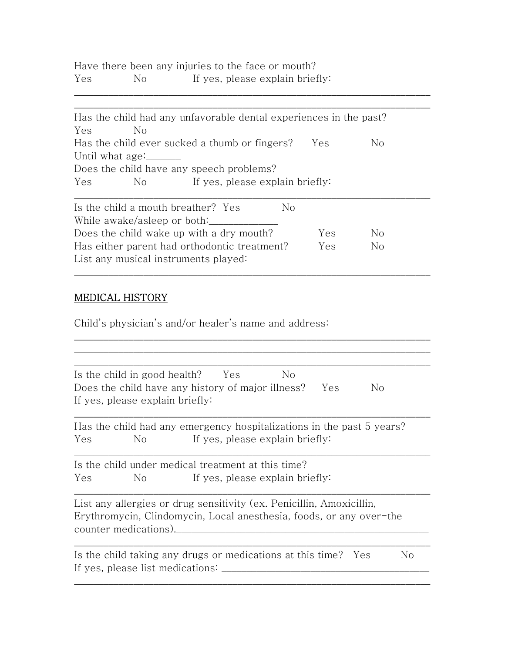Have there been any injuries to the face or mouth? Yes No If yes, please explain briefly:

| Has the child had any unfavorable dental experiences in the past? |     |     |      |                |  |
|-------------------------------------------------------------------|-----|-----|------|----------------|--|
| No<br>Yes.                                                        |     |     |      |                |  |
| Has the child ever sucked a thumb or fingers?                     | No. |     |      |                |  |
| Until what age:                                                   |     |     |      |                |  |
| Does the child have any speech problems?                          |     |     |      |                |  |
| If yes, please explain briefly:<br>Yes<br>No                      |     |     |      |                |  |
|                                                                   |     |     |      |                |  |
| Is the child a mouth breather? Yes                                |     | No. |      |                |  |
| While awake/asleep or both:                                       |     |     |      |                |  |
| Does the child wake up with a dry mouth?                          |     |     | Yes. | No.            |  |
| Has either parent had orthodontic treatment?                      |     |     | Yes. | N <sub>o</sub> |  |
| List any musical instruments played:                              |     |     |      |                |  |
|                                                                   |     |     |      |                |  |

\_\_\_\_\_\_\_\_\_\_\_\_\_\_\_\_\_\_\_\_\_\_\_\_\_\_\_\_\_\_\_\_\_\_\_\_\_\_\_\_\_\_\_\_\_\_\_\_\_\_\_\_\_\_\_\_\_\_\_\_\_\_\_\_\_\_\_\_\_\_\_\_

## MEDICAL HISTORY

Child's physician's and/or healer's name and address:

| If yes, please explain briefly: | Is the child in good health? Yes<br>Does the child have any history of major illness? Yes                                                   | No. | N <sub>o</sub> |                |
|---------------------------------|---------------------------------------------------------------------------------------------------------------------------------------------|-----|----------------|----------------|
|                                 | Has the child had any emergency hospitalizations in the past 5 years?                                                                       |     |                |                |
|                                 | Yes No If yes, please explain briefly:                                                                                                      |     |                |                |
|                                 | Is the child under medical treatment at this time?<br>Yes No If yes, please explain briefly:                                                |     |                |                |
|                                 | List any allergies or drug sensitivity (ex. Penicillin, Amoxicillin,<br>Erythromycin, Clindomycin, Local anesthesia, foods, or any over-the |     |                |                |
|                                 | Is the child taking any drugs or medications at this time? Yes<br>If yes, please list medications: ___________                              |     |                | N <sub>o</sub> |

\_\_\_\_\_\_\_\_\_\_\_\_\_\_\_\_\_\_\_\_\_\_\_\_\_\_\_\_\_\_\_\_\_\_\_\_\_\_\_\_\_\_\_\_\_\_\_\_\_\_\_\_\_\_\_\_\_\_\_\_\_\_\_\_\_\_\_\_\_\_\_\_